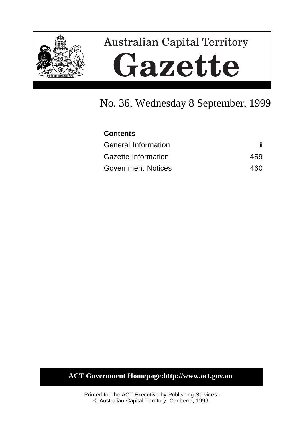

# **Australian Capital Territory** Gazette

# No. 36, Wednesday 8 September, 1999

| <b>Contents</b>           |      |
|---------------------------|------|
| General Information       |      |
| Gazette Information       | 459  |
| <b>Government Notices</b> | 460. |

# **ACT Government Homepage:http://www.act.gov.au**

Printed for the ACT Executive by Publishing Services. © Australian Capital Territory, Canberra, 1999.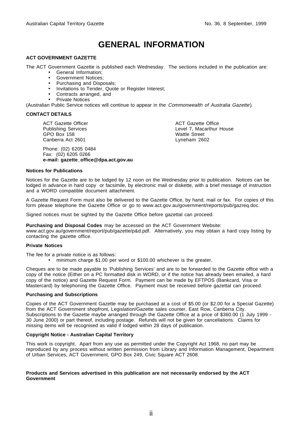# **GENERAL INFORMATION**

### **ACT GOVERNMENT GAZETTE**

The ACT Government Gazette is published each Wednesday. The sections included in the publication are:

- General Information;
- Government Notices;
- Purchasing and Disposals;
- Invitations to Tender, Quote or Register Interest;
- Contracts arranged, and
- Private Notices

(Australian Public Service notices will continue to appear in the Commonwealth of Australia Gazette).

#### **CONTACT DETAILS**

ACT Gazette Officer Publishing Services GPO Box 158 Canberra Act 2601

Phone: (02) 6205 0484 Fax: (02) 6205 0266 **e-mail: gazette\_office@dpa.act.gov.au** ACT Gazette Office Level 7, Macarthur House Wattle Street Lyneham 2602

### **Notices for Publications**

Notices for the Gazette are to be lodged by 12 noon on the Wednesday prior to publication. Notices can be lodged in advance in hard copy or facsimile, by electronic mail or diskette, with a brief message of instruction and a WORD compatible document attachment.

A Gazette Request Form must also be delivered to the Gazette Office, by hand, mail or fax. For copies of this form please telephone the Gazette Office or go to www.act.gov.au/government/reports/pub/gazreq.doc.

Signed notices must be sighted by the Gazette Office before gazettal can proceed.

**Purchasing and Disposal Codes** may be accessed on the ACT Government Website:

www.act.gov.au/government/report/pub/gazette/p&d.pdf. Alternatively, you may obtain a hard copy listing by contacting the gazette office.

### **Private Notices**

The fee for a private notice is as follows:

• minimum charge \$1.00 per word or \$100.00 whichever is the greater.

Cheques are to be made payable to 'Publishing Services' and are to be forwarded to the Gazette office with a copy of the notice (Either on a PC formatted disk in WORD, or if the notice has already been emailed, a hard copy of the notice) and Gazette Request Form. Payment can be made by EFTPOS (Bankcard, Visa or Mastercard) by telephoning the Gazette Office. Payment must be received before gazettal can proceed.

### **Purchasing and Subscriptions**

Copies of the ACT Government Gazette may be purchased at a cost of \$5.00 (or \$2.00 for a Special Gazette) from the ACT Government shopfront, Legislation/Gazette sales counter, East Row, Canberra City. Subscriptions to the Gazette maybe arranged through the Gazette Office at a price of \$360.00 (1 July 1999 -30 June 2000) or part thereof, including postage. Refunds will not be given for cancellations. Claims for missing items will be recognised as valid if lodged within 28 days of publication.

### **Copyright Notice - Australian Capital Territory**

This work is copyright. Apart from any use as permitted under the Copyright Act 1968, no part may be reproduced by any process without written permission from Library and Information Management, Department of Urban Services, ACT Government, GPO Box 249, Civic Square ACT 2608.

### **Products and Services advertised in this publication are not necessarily endorsed by the ACT Government**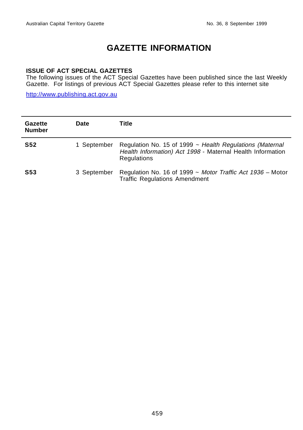# **GAZETTE INFORMATION**

### **ISSUE OF ACT SPECIAL GAZETTES**

The following issues of the ACT Special Gazettes have been published since the last Weekly Gazette. For listings of previous ACT Special Gazettes please refer to this internet site

http://www.publishing.act.gov.au

| Gazette<br><b>Number</b> | <b>Date</b> | Title                                                                                                                                      |
|--------------------------|-------------|--------------------------------------------------------------------------------------------------------------------------------------------|
| <b>S52</b>               | 1 September | Regulation No. 15 of 1999 $\sim$ Health Regulations (Maternal<br>Health Information) Act 1998 - Maternal Health Information<br>Regulations |
| <b>S53</b>               | 3 September | Regulation No. 16 of 1999 ~ Motor Traffic Act 1936 - Motor<br><b>Traffic Regulations Amendment</b>                                         |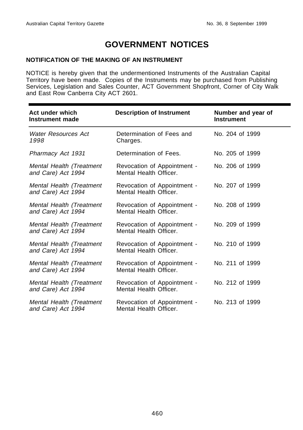# **GOVERNMENT NOTICES**

### **NOTIFICATION OF THE MAKING OF AN INSTRUMENT**

NOTICE is hereby given that the undermentioned Instruments of the Australian Capital Territory have been made. Copies of the Instruments may be purchased from Publishing Services, Legislation and Sales Counter, ACT Government Shopfront, Corner of City Walk and East Row Canberra City ACT 2601.

| Act under which<br>Instrument made             | <b>Description of Instrument</b>                      | Number and year of<br><b>Instrument</b> |
|------------------------------------------------|-------------------------------------------------------|-----------------------------------------|
| Water Resources Act<br>1998                    | Determination of Fees and<br>Charges.                 | No. 204 of 1999                         |
| Pharmacy Act 1931                              | Determination of Fees.                                | No. 205 of 1999                         |
| Mental Health (Treatment<br>and Care) Act 1994 | Revocation of Appointment -<br>Mental Health Officer. | No. 206 of 1999                         |
| Mental Health (Treatment<br>and Care) Act 1994 | Revocation of Appointment -<br>Mental Health Officer. | No. 207 of 1999                         |
| Mental Health (Treatment<br>and Care) Act 1994 | Revocation of Appointment -<br>Mental Health Officer. | No. 208 of 1999                         |
| Mental Health (Treatment<br>and Care) Act 1994 | Revocation of Appointment -<br>Mental Health Officer. | No. 209 of 1999                         |
| Mental Health (Treatment<br>and Care) Act 1994 | Revocation of Appointment -<br>Mental Health Officer. | No. 210 of 1999                         |
| Mental Health (Treatment<br>and Care) Act 1994 | Revocation of Appointment -<br>Mental Health Officer. | No. 211 of 1999                         |
| Mental Health (Treatment<br>and Care) Act 1994 | Revocation of Appointment -<br>Mental Health Officer. | No. 212 of 1999                         |
| Mental Health (Treatment<br>and Care) Act 1994 | Revocation of Appointment -<br>Mental Health Officer. | No. 213 of 1999                         |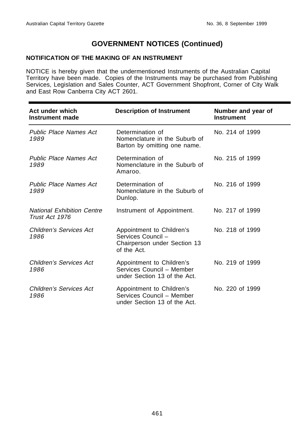### **NOTIFICATION OF THE MAKING OF AN INSTRUMENT**

NOTICE is hereby given that the undermentioned Instruments of the Australian Capital Territory have been made. Copies of the Instruments may be purchased from Publishing Services, Legislation and Sales Counter, ACT Government Shopfront, Corner of City Walk and East Row Canberra City ACT 2601.

| Act under which<br>Instrument made                  | <b>Description of Instrument</b>                                                               | Number and year of<br><b>Instrument</b> |
|-----------------------------------------------------|------------------------------------------------------------------------------------------------|-----------------------------------------|
| <b>Public Place Names Act</b><br>1989               | Determination of<br>Nomenclature in the Suburb of<br>Barton by omitting one name.              | No. 214 of 1999                         |
| Public Place Names Act<br>1989                      | Determination of<br>Nomenclature in the Suburb of<br>Amaroo.                                   | No. 215 of 1999                         |
| <b>Public Place Names Act</b><br>1989               | Determination of<br>Nomenclature in the Suburb of<br>Dunlop.                                   | No. 216 of 1999                         |
| <b>National Exhibition Centre</b><br>Trust Act 1976 | Instrument of Appointment.                                                                     | No. 217 of 1999                         |
| Children's Services Act<br>1986                     | Appointment to Children's<br>Services Council -<br>Chairperson under Section 13<br>of the Act. | No. 218 of 1999                         |
| Children's Services Act<br>1986                     | Appointment to Children's<br>Services Council - Member<br>under Section 13 of the Act.         | No. 219 of 1999                         |
| Children's Services Act<br>1986                     | Appointment to Children's<br>Services Council - Member<br>under Section 13 of the Act.         | No. 220 of 1999                         |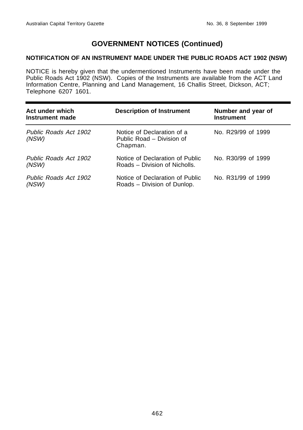### **NOTIFICATION OF AN INSTRUMENT MADE UNDER THE PUBLIC ROADS ACT 1902 (NSW)**

NOTICE is hereby given that the undermentioned Instruments have been made under the Public Roads Act 1902 (NSW). Copies of the Instruments are available from the ACT Land Information Centre, Planning and Land Management, 16 Challis Street, Dickson, ACT; Telephone 6207 1601.

| Act under which<br>Instrument made | <b>Description of Instrument</b>                                    | Number and year of<br><b>Instrument</b> |
|------------------------------------|---------------------------------------------------------------------|-----------------------------------------|
| Public Roads Act 1902<br>(NSW)     | Notice of Declaration of a<br>Public Road – Division of<br>Chapman. | No. R29/99 of 1999                      |
| Public Roads Act 1902<br>(NSW)     | Notice of Declaration of Public<br>Roads – Division of Nicholls.    | No. R30/99 of 1999                      |
| Public Roads Act 1902<br>(NSW)     | Notice of Declaration of Public<br>Roads – Division of Dunlop.      | No. R31/99 of 1999                      |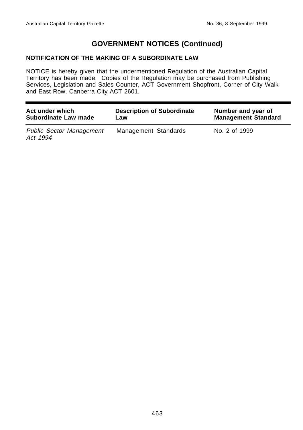### **NOTIFICATION OF THE MAKING OF A SUBORDINATE LAW**

NOTICE is hereby given that the undermentioned Regulation of the Australian Capital Territory has been made. Copies of the Regulation may be purchased from Publishing Services, Legislation and Sales Counter, ACT Government Shopfront, Corner of City Walk and East Row, Canberra City ACT 2601.

| Act under which                             | <b>Description of Subordinate</b> | Number and year of         |
|---------------------------------------------|-----------------------------------|----------------------------|
| Subordinate Law made                        | Law                               | <b>Management Standard</b> |
| <b>Public Sector Management</b><br>Act 1994 | Management Standards              | No. 2 of 1999              |